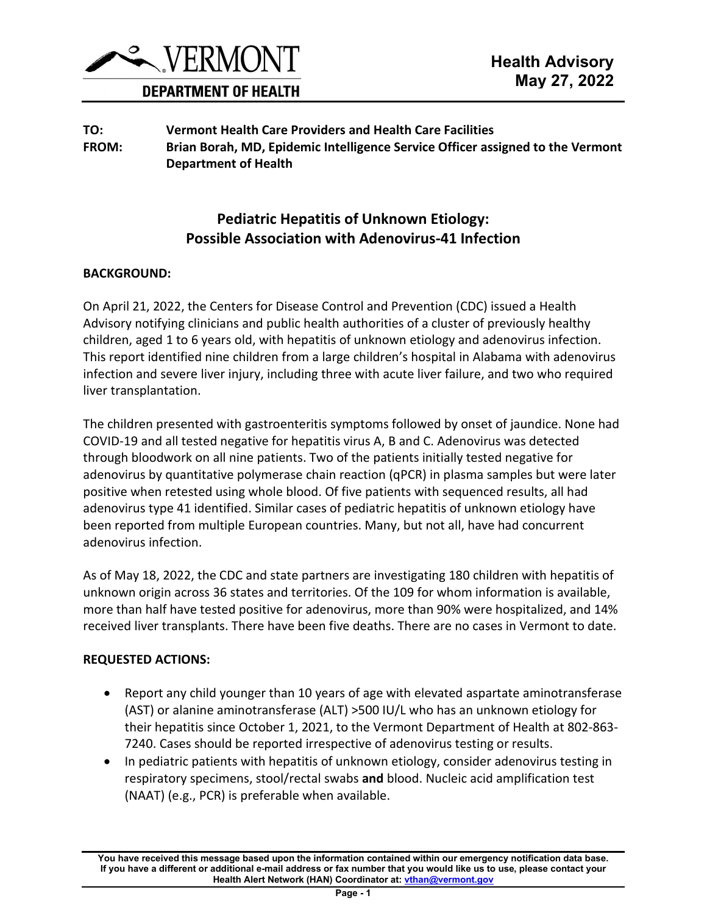

#### **DEPARTMENT OF HEALTH**

**TO: Vermont Health Care Providers and Health Care Facilities FROM: Brian Borah, MD, Epidemic Intelligence Service Officer assigned to the Vermont Department of Health**

# **Pediatric Hepatitis of Unknown Etiology: Possible Association with Adenovirus-41 Infection**

#### **BACKGROUND:**

On April 21, 2022, the Centers for Disease Control and Prevention (CDC) issued a Health Advisory notifying clinicians and public health authorities of a cluster of previously healthy children, aged 1 to 6 years old, with hepatitis of unknown etiology and adenovirus infection. This report identified nine children from a large children's hospital in Alabama with adenovirus infection and severe liver injury, including three with acute liver failure, and two who required liver transplantation.

The children presented with gastroenteritis symptoms followed by onset of jaundice. None had COVID-19 and all tested negative for hepatitis virus A, B and C. Adenovirus was detected through bloodwork on all nine patients. Two of the patients initially tested negative for adenovirus by quantitative polymerase chain reaction (qPCR) in plasma samples but were later positive when retested using whole blood. Of five patients with sequenced results, all had adenovirus type 41 identified. Similar cases of pediatric hepatitis of unknown etiology have been reported from multiple European countries. Many, but not all, have had concurrent adenovirus infection.

As of May 18, 2022, the CDC and state partners are investigating 180 children with hepatitis of unknown origin across 36 states and territories. Of the 109 for whom information is available, more than half have tested positive for adenovirus, more than 90% were hospitalized, and 14% received liver transplants. There have been five deaths. There are no cases in Vermont to date.

#### **REQUESTED ACTIONS:**

- Report any child younger than 10 years of age with elevated aspartate aminotransferase (AST) or alanine aminotransferase (ALT) >500 IU/L who has an unknown etiology for their hepatitis since October 1, 2021, to the Vermont Department of Health at 802-863- 7240. Cases should be reported irrespective of adenovirus testing or results.
- In pediatric patients with hepatitis of unknown etiology, consider adenovirus testing in respiratory specimens, stool/rectal swabs **and** blood. Nucleic acid amplification test (NAAT) (e.g., PCR) is preferable when available.

**You have received this message based upon the information contained within our emergency notification data base. If you have a different or additional e-mail address or fax number that you would like us to use, please contact your Health Alert Network (HAN) Coordinator at[: vthan@vermont.gov](mailto:vthan@vermont.gov)**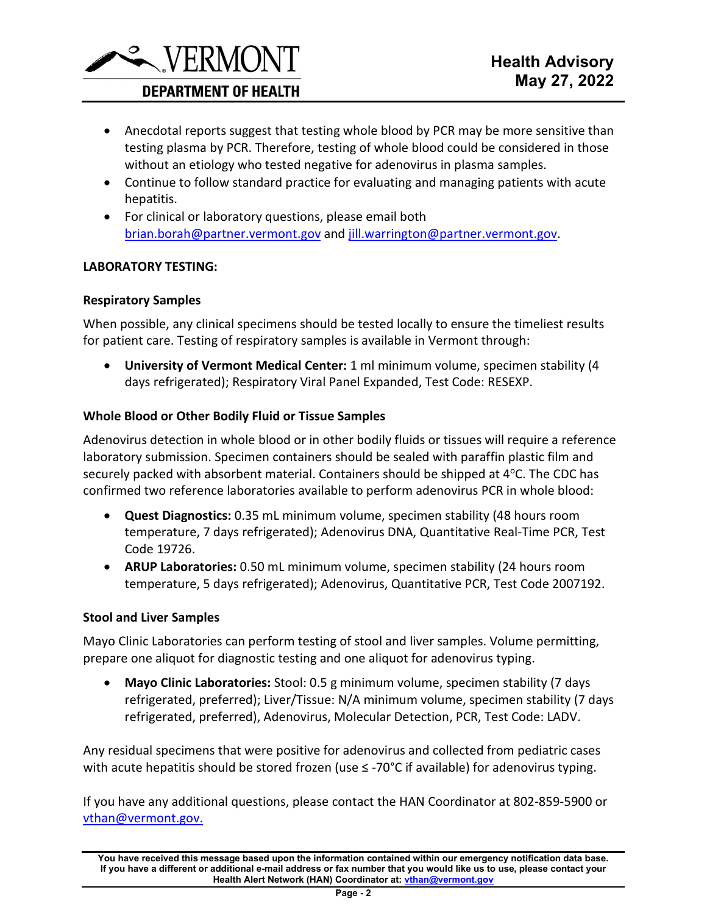

## **DEPARTMENT OF HEALTH**

- Anecdotal reports suggest that testing whole blood by PCR may be more sensitive than testing plasma by PCR. Therefore, testing of whole blood could be considered in those without an etiology who tested negative for adenovirus in plasma samples.
- Continue to follow standard practice for evaluating and managing patients with acute hepatitis.
- For clinical or laboratory questions, please email both [brian.borah@partner.vermont.gov](mailto:brian.borah@partner.vermont.gov) and [jill.warrington@partner.vermont.gov.](mailto:jill.warrington@partner.vermont.gov)

#### **LABORATORY TESTING:**

#### **Respiratory Samples**

When possible, any clinical specimens should be tested locally to ensure the timeliest results for patient care. Testing of respiratory samples is available in Vermont through:

• **University of Vermont Medical Center:** 1 ml minimum volume, specimen stability (4 days refrigerated); Respiratory Viral Panel Expanded, Test Code: RESEXP.

### **Whole Blood or Other Bodily Fluid or Tissue Samples**

Adenovirus detection in whole blood or in other bodily fluids or tissues will require a reference laboratory submission. Specimen containers should be sealed with paraffin plastic film and securely packed with absorbent material. Containers should be shipped at  $4^{\circ}$ C. The CDC has confirmed two reference laboratories available to perform adenovirus PCR in whole blood:

- **Quest Diagnostics:** 0.35 mL minimum volume, specimen stability (48 hours room temperature, 7 days refrigerated); Adenovirus DNA, Quantitative Real-Time PCR, Test Code 19726.
- **ARUP Laboratories:** 0.50 mL minimum volume, specimen stability (24 hours room temperature, 5 days refrigerated); Adenovirus, Quantitative PCR, Test Code 2007192.

#### **Stool and Liver Samples**

Mayo Clinic Laboratories can perform testing of stool and liver samples. Volume permitting, prepare one aliquot for diagnostic testing and one aliquot for adenovirus typing.

• **Mayo Clinic Laboratories:** Stool: 0.5 g minimum volume, specimen stability (7 days refrigerated, preferred); Liver/Tissue: N/A minimum volume, specimen stability (7 days refrigerated, preferred), Adenovirus, Molecular Detection, PCR, Test Code: LADV.

Any residual specimens that were positive for adenovirus and collected from pediatric cases with acute hepatitis should be stored frozen (use ≤ -70°C if available) for adenovirus typing.

If you have any additional questions, please contact the HAN Coordinator at 802-859-5900 or [vthan@vermont.gov.](mailto:vthan@vermont.gov)

**You have received this message based upon the information contained within our emergency notification data base. If you have a different or additional e-mail address or fax number that you would like us to use, please contact your Health Alert Network (HAN) Coordinator at[: vthan@vermont.gov](mailto:vthan@vermont.gov)**